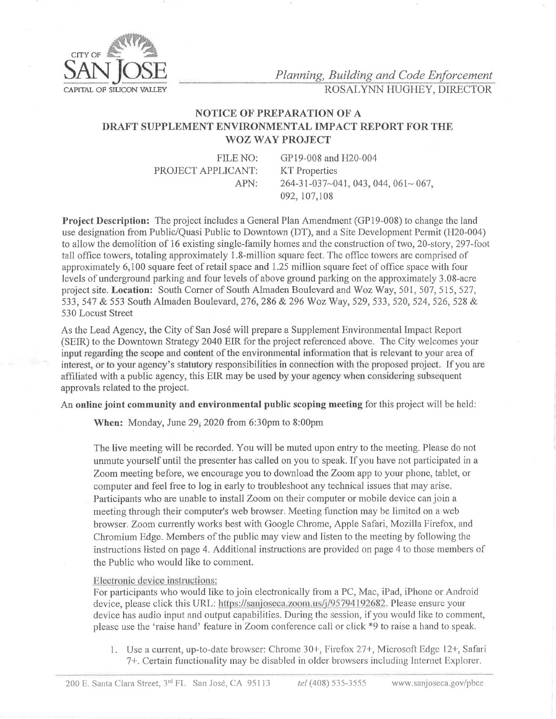

*Planning, Building and Code Enforcement* CAPITAL OF SILICON VALLEY ROSAL YNN HUGHEY, DIRECTOR

## **NOTICE OF PREPARATION OF A DRAFT SUPPLEMENT ENVIRONMENTAL IMPACT REPORT FOR THE WOZ WAY PROJECT**

FILE NO: PROJECT APPLICANT: APN:

GP19-008 and H20-004 **KT** Properties 264-31-037~041, 043, 044, 061~ 067, 092, 107,108

**Project Description:** The project includes a General Plan Amendment (GP19-008) to change the land use designation from Public/Quasi Public to Downtown (DT), and a Site Development Permit (H20-004) to allow the demolition of 16 existing single-family homes and the construction of two, 20-story, 297-foot tall office towers, totaling approximately 1.8-million square feet. The office towers are comprised of approximately 6,100 square feet of retail space and 1.25 million square feet of office space with four levels of underground parking and four levels of above ground parking on the approximately 3 .08-acre project site. **Location:** South Comer of South Almaden Boulevard and Woz Way, 501,507,515,527, 533, 547 & 553 South Almaden Boulevard, 276, 286 & 296 Woz Way, 529, 533, 520, 524, 526, 528 & 530 Locust Street

As the Lead Agency, the City of San José will prepare a Supplement Environmental Impact Report (SEIR) to the Downtown Strategy 2040 EIR for the project referenced above. The City welcomes your input regarding the scope and content of the environmental information that is relevant to your area of interest, or to your agency's statutory responsibilities in connection with the proposed project. If you are affiliated with a public agency, this EIR may be used by your agency when considering subsequent approvals related to the project.

An **online joint community and environmental public scoping meeting** for this project will be held:

**When:** Monday, June 29; 2020 from 6:30pm to 8:00pm

The live meeting will be recorded. You will be muted upon entry to the meeting. Please do not unmute yourself until the presenter has called on you to speak. If you have not participated in a Zoom meeting before, we encourage you to download the Zoom app to your phone, tablet, or computer and feel free to log in early to troubleshoot any technical issues that may arise. Participants who are unable to install Zoom on their computer or mobile device can join a meeting through their computer's web browser. Meeting function may be limited on a web browser. Zoom currently works best with Google Chrome, Apple Safari, Mozilla Firefox, and Chromium Edge. Members of the public may view and listen to the meeting by following the instructions listed on page 4. Additional instructions are provided on page 4 to those members of the Public who would like to comment.

## Electronic device instructions:

For participants who would like to join electronically from a PC, Mac, iPad, iPhonc or Android device, please click this URL: https://sanjoseca.zoom.us/j/95794192682. Please ensure your device has audio input and output capabilities. During the session, if you would like to comment, please use the 'raise hand' feature in Zoom conference call or click \*9 to raise a hand to speak.

l. Use a current, up-to-date browser: Chrome 30+, Firefox 27+, Microsoft Edge 12+, Safari 7+. Certain functionality may be disabled in older browsers including Internet Explorer.